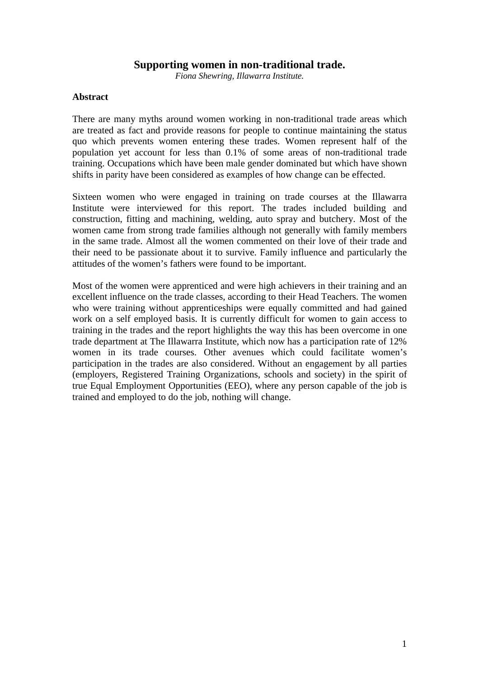## **Supporting women in non-traditional trade.**

*Fiona Shewring, Illawarra Institute.* 

#### **Abstract**

There are many myths around women working in non-traditional trade areas which are treated as fact and provide reasons for people to continue maintaining the status quo which prevents women entering these trades. Women represent half of the population yet account for less than 0.1% of some areas of non-traditional trade training. Occupations which have been male gender dominated but which have shown shifts in parity have been considered as examples of how change can be effected.

Sixteen women who were engaged in training on trade courses at the Illawarra Institute were interviewed for this report. The trades included building and construction, fitting and machining, welding, auto spray and butchery. Most of the women came from strong trade families although not generally with family members in the same trade. Almost all the women commented on their love of their trade and their need to be passionate about it to survive. Family influence and particularly the attitudes of the women's fathers were found to be important.

Most of the women were apprenticed and were high achievers in their training and an excellent influence on the trade classes, according to their Head Teachers. The women who were training without apprenticeships were equally committed and had gained work on a self employed basis. It is currently difficult for women to gain access to training in the trades and the report highlights the way this has been overcome in one trade department at The Illawarra Institute, which now has a participation rate of 12% women in its trade courses. Other avenues which could facilitate women's participation in the trades are also considered. Without an engagement by all parties (employers, Registered Training Organizations, schools and society) in the spirit of true Equal Employment Opportunities (EEO), where any person capable of the job is trained and employed to do the job, nothing will change.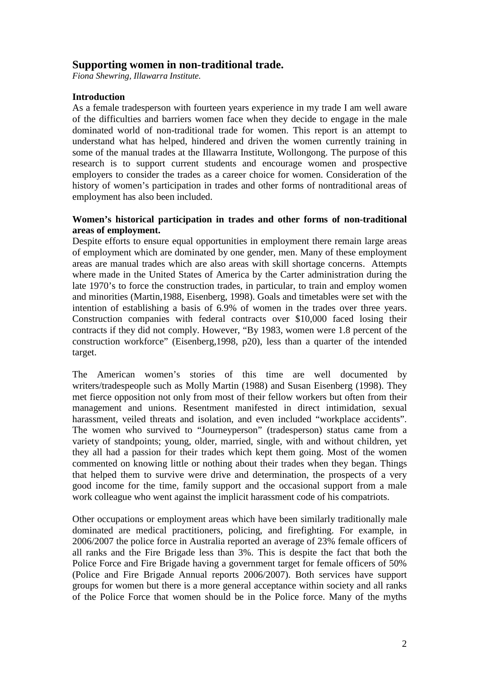# **Supporting women in non-traditional trade.**

*Fiona Shewring, Illawarra Institute.* 

### **Introduction**

As a female tradesperson with fourteen years experience in my trade I am well aware of the difficulties and barriers women face when they decide to engage in the male dominated world of non-traditional trade for women. This report is an attempt to understand what has helped, hindered and driven the women currently training in some of the manual trades at the Illawarra Institute, Wollongong. The purpose of this research is to support current students and encourage women and prospective employers to consider the trades as a career choice for women. Consideration of the history of women's participation in trades and other forms of nontraditional areas of employment has also been included.

### **Women's historical participation in trades and other forms of non-traditional areas of employment.**

Despite efforts to ensure equal opportunities in employment there remain large areas of employment which are dominated by one gender, men. Many of these employment areas are manual trades which are also areas with skill shortage concerns. Attempts where made in the United States of America by the Carter administration during the late 1970's to force the construction trades, in particular, to train and employ women and minorities (Martin,1988, Eisenberg, 1998). Goals and timetables were set with the intention of establishing a basis of 6.9% of women in the trades over three years. Construction companies with federal contracts over \$10,000 faced losing their contracts if they did not comply. However, "By 1983, women were 1.8 percent of the construction workforce" (Eisenberg,1998, p20), less than a quarter of the intended target.

The American women's stories of this time are well documented by writers/tradespeople such as Molly Martin (1988) and Susan Eisenberg (1998). They met fierce opposition not only from most of their fellow workers but often from their management and unions. Resentment manifested in direct intimidation, sexual harassment, veiled threats and isolation, and even included "workplace accidents". The women who survived to "Journeyperson" (tradesperson) status came from a variety of standpoints; young, older, married, single, with and without children, yet they all had a passion for their trades which kept them going. Most of the women commented on knowing little or nothing about their trades when they began. Things that helped them to survive were drive and determination, the prospects of a very good income for the time, family support and the occasional support from a male work colleague who went against the implicit harassment code of his compatriots.

Other occupations or employment areas which have been similarly traditionally male dominated are medical practitioners, policing, and firefighting. For example, in 2006/2007 the police force in Australia reported an average of 23% female officers of all ranks and the Fire Brigade less than 3%. This is despite the fact that both the Police Force and Fire Brigade having a government target for female officers of 50% (Police and Fire Brigade Annual reports 2006/2007). Both services have support groups for women but there is a more general acceptance within society and all ranks of the Police Force that women should be in the Police force. Many of the myths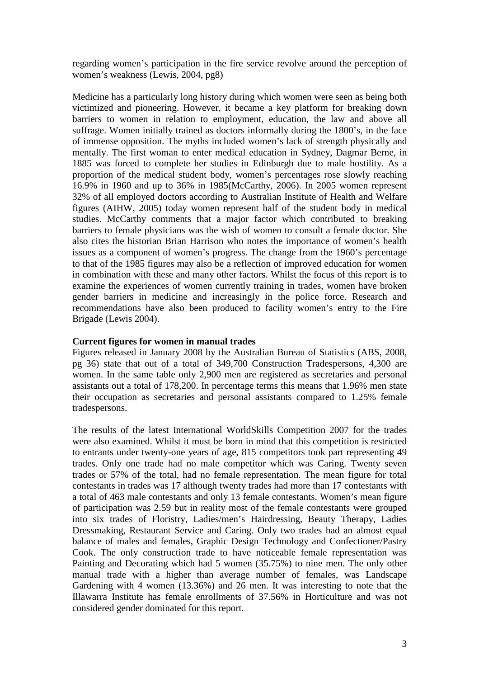regarding women's participation in the fire service revolve around the perception of women's weakness (Lewis, 2004, pg8)

Medicine has a particularly long history during which women were seen as being both victimized and pioneering. However, it became a key platform for breaking down barriers to women in relation to employment, education, the law and above all suffrage. Women initially trained as doctors informally during the 1800's, in the face of immense opposition. The myths included women's lack of strength physically and mentally. The first woman to enter medical education in Sydney, Dagmar Berne, in 1885 was forced to complete her studies in Edinburgh due to male hostility. As a proportion of the medical student body, women's percentages rose slowly reaching 16.9% in 1960 and up to 36% in 1985(McCarthy, 2006). In 2005 women represent 32% of all employed doctors according to Australian Institute of Health and Welfare figures (AIHW, 2005) today women represent half of the student body in medical studies. McCarthy comments that a major factor which contributed to breaking barriers to female physicians was the wish of women to consult a female doctor. She also cites the historian Brian Harrison who notes the importance of women's health issues as a component of women's progress. The change from the 1960's percentage to that of the 1985 figures may also be a reflection of improved education for women in combination with these and many other factors. Whilst the focus of this report is to examine the experiences of women currently training in trades, women have broken gender barriers in medicine and increasingly in the police force. Research and recommendations have also been produced to facility women's entry to the Fire Brigade (Lewis 2004).

### **Current figures for women in manual trades**

Figures released in January 2008 by the Australian Bureau of Statistics (ABS, 2008, pg 36) state that out of a total of 349,700 Construction Tradespersons, 4,300 are women. In the same table only 2,900 men are registered as secretaries and personal assistants out a total of 178,200. In percentage terms this means that 1.96% men state their occupation as secretaries and personal assistants compared to 1.25% female tradespersons.

The results of the latest International WorldSkills Competition 2007 for the trades were also examined. Whilst it must be born in mind that this competition is restricted to entrants under twenty-one years of age, 815 competitors took part representing 49 trades. Only one trade had no male competitor which was Caring. Twenty seven trades or 57% of the total, had no female representation. The mean figure for total contestants in trades was 17 although twenty trades had more than 17 contestants with a total of 463 male contestants and only 13 female contestants. Women's mean figure of participation was 2.59 but in reality most of the female contestants were grouped into six trades of Floristry, Ladies/men's Hairdressing, Beauty Therapy, Ladies Dressmaking, Restaurant Service and Caring. Only two trades had an almost equal balance of males and females, Graphic Design Technology and Confectioner/Pastry Cook. The only construction trade to have noticeable female representation was Painting and Decorating which had 5 women (35.75%) to nine men. The only other manual trade with a higher than average number of females, was Landscape Gardening with 4 women (13.36%) and 26 men. It was interesting to note that the Illawarra Institute has female enrollments of 37.56% in Horticulture and was not considered gender dominated for this report.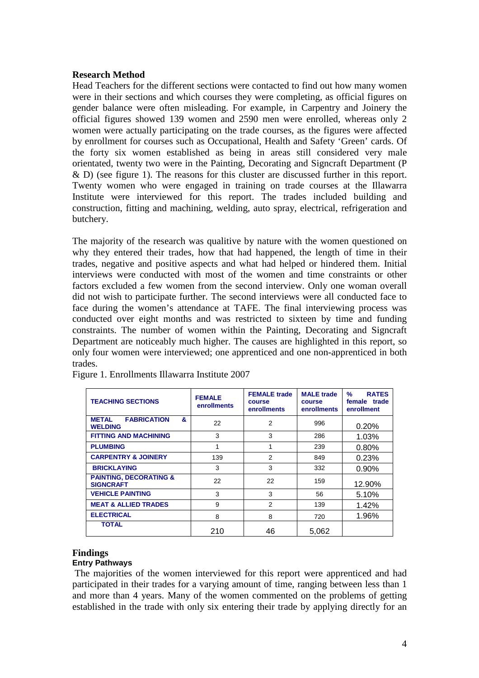### **Research Method**

Head Teachers for the different sections were contacted to find out how many women were in their sections and which courses they were completing, as official figures on gender balance were often misleading. For example, in Carpentry and Joinery the official figures showed 139 women and 2590 men were enrolled, whereas only 2 women were actually participating on the trade courses, as the figures were affected by enrollment for courses such as Occupational, Health and Safety 'Green' cards. Of the forty six women established as being in areas still considered very male orientated, twenty two were in the Painting, Decorating and Signcraft Department (P & D) (see figure 1). The reasons for this cluster are discussed further in this report. Twenty women who were engaged in training on trade courses at the Illawarra Institute were interviewed for this report. The trades included building and construction, fitting and machining, welding, auto spray, electrical, refrigeration and butchery.

The majority of the research was qualitive by nature with the women questioned on why they entered their trades, how that had happened, the length of time in their trades, negative and positive aspects and what had helped or hindered them. Initial interviews were conducted with most of the women and time constraints or other factors excluded a few women from the second interview. Only one woman overall did not wish to participate further. The second interviews were all conducted face to face during the women's attendance at TAFE. The final interviewing process was conducted over eight months and was restricted to sixteen by time and funding constraints. The number of women within the Painting, Decorating and Signcraft Department are noticeably much higher. The causes are highlighted in this report, so only four women were interviewed; one apprenticed and one non-apprenticed in both trades.

| <b>TEACHING SECTIONS</b>                                  | <b>FEMALE</b><br>enrollments | <b>FEMALE</b> trade<br>course<br><b>enrollments</b> | <b>MALE</b> trade<br>course<br>enrollments | <b>RATES</b><br>$\frac{9}{6}$<br>female trade<br>enrollment |
|-----------------------------------------------------------|------------------------------|-----------------------------------------------------|--------------------------------------------|-------------------------------------------------------------|
| <b>METAL</b><br><b>FABRICATION</b><br>&<br><b>WELDING</b> | 22                           | 2                                                   | 996                                        | 0.20%                                                       |
| <b>FITTING AND MACHINING</b>                              | 3                            | 3                                                   | 286                                        | 1.03%                                                       |
| <b>PLUMBING</b>                                           | 1                            | 1                                                   | 239                                        | 0.80%                                                       |
| <b>CARPENTRY &amp; JOINERY</b>                            | 139                          | $\mathfrak{p}$                                      | 849                                        | 0.23%                                                       |
| <b>BRICKLAYING</b>                                        | 3                            | 3                                                   | 332                                        | 0.90%                                                       |
| <b>PAINTING, DECORATING &amp;</b><br><b>SIGNCRAFT</b>     | 22                           | 22                                                  | 159                                        | 12.90%                                                      |
| <b>VEHICLE PAINTING</b>                                   | 3                            | 3                                                   | 56                                         | 5.10%                                                       |
| <b>MEAT &amp; ALLIED TRADES</b>                           | 9                            | $\overline{2}$                                      | 139                                        | 1.42%                                                       |
| <b>ELECTRICAL</b>                                         | 8                            | 8                                                   | 720                                        | 1.96%                                                       |
| <b>TOTAL</b>                                              | 210                          | 46                                                  | 5,062                                      |                                                             |

Figure 1. Enrollments Illawarra Institute 2007

### **Findings**

### **Entry Pathways**

 The majorities of the women interviewed for this report were apprenticed and had participated in their trades for a varying amount of time, ranging between less than 1 and more than 4 years. Many of the women commented on the problems of getting established in the trade with only six entering their trade by applying directly for an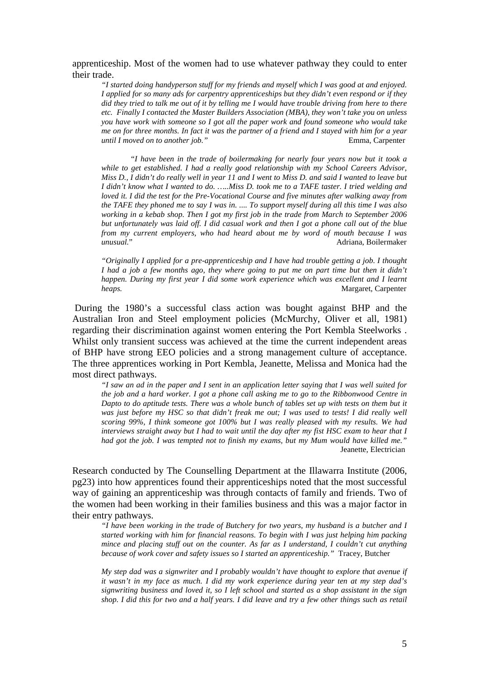apprenticeship. Most of the women had to use whatever pathway they could to enter their trade.

*"I started doing handyperson stuff for my friends and myself which I was good at and enjoyed. I applied for so many ads for carpentry apprenticeships but they didn't even respond or if they did they tried to talk me out of it by telling me I would have trouble driving from here to there etc. Finally I contacted the Master Builders Association (MBA), they won't take you on unless you have work with someone so I got all the paper work and found someone who would take me on for three months. In fact it was the partner of a friend and I stayed with him for a year until I moved on to another job.*" Emma. Carpenter *until I moved on to another job.*"

*"I have been in the trade of boilermaking for nearly four years now but it took a while to get established. I had a really good relationship with my School Careers Advisor, Miss D., I didn't do really well in year 11 and I went to Miss D. and said I wanted to leave but I didn't know what I wanted to do. …..Miss D. took me to a TAFE taster. I tried welding and loved it. I did the test for the Pre-Vocational Course and five minutes after walking away from the TAFE they phoned me to say I was in. .... To support myself during all this time I was also working in a kebab shop. Then I got my first job in the trade from March to September 2006 but unfortunately was laid off. I did casual work and then I got a phone call out of the blue from my current employers, who had heard about me by word of mouth because I was unusual.*" Adriana Boilermaker Adriana, Boilermaker

*"Originally I applied for a pre-apprenticeship and I have had trouble getting a job. I thought I had a job a few months ago, they where going to put me on part time but then it didn't happen. During my first year I did some work experience which was excellent and I learnt heaps.* Margaret, Carpenter

 During the 1980's a successful class action was bought against BHP and the Australian Iron and Steel employment policies (McMurchy, Oliver et all, 1981) regarding their discrimination against women entering the Port Kembla Steelworks . Whilst only transient success was achieved at the time the current independent areas of BHP have strong EEO policies and a strong management culture of acceptance. The three apprentices working in Port Kembla, Jeanette, Melissa and Monica had the most direct pathways.

*"I saw an ad in the paper and I sent in an application letter saying that I was well suited for the job and a hard worker. I got a phone call asking me to go to the Ribbonwood Centre in Dapto to do aptitude tests. There was a whole bunch of tables set up with tests on them but it*  was just before my HSC so that didn't freak me out; I was used to tests! I did really well *scoring 99%, I think someone got 100% but I was really pleased with my results. We had interviews straight away but I had to wait until the day after my fist HSC exam to hear that I had got the job. I was tempted not to finish my exams, but my Mum would have killed me."*  **Jeanette, Electrician** 

Research conducted by The Counselling Department at the Illawarra Institute (2006, pg23) into how apprentices found their apprenticeships noted that the most successful way of gaining an apprenticeship was through contacts of family and friends. Two of the women had been working in their families business and this was a major factor in their entry pathways.

*"I have been working in the trade of Butchery for two years, my husband is a butcher and I started working with him for financial reasons. To begin with I was just helping him packing mince and placing stuff out on the counter. As far as I understand, I couldn't cut anything because of work cover and safety issues so I started an apprenticeship."* Tracey, Butcher

*My step dad was a signwriter and I probably wouldn't have thought to explore that avenue if it wasn't in my face as much. I did my work experience during year ten at my step dad's signwriting business and loved it, so I left school and started as a shop assistant in the sign shop. I did this for two and a half years. I did leave and try a few other things such as retail*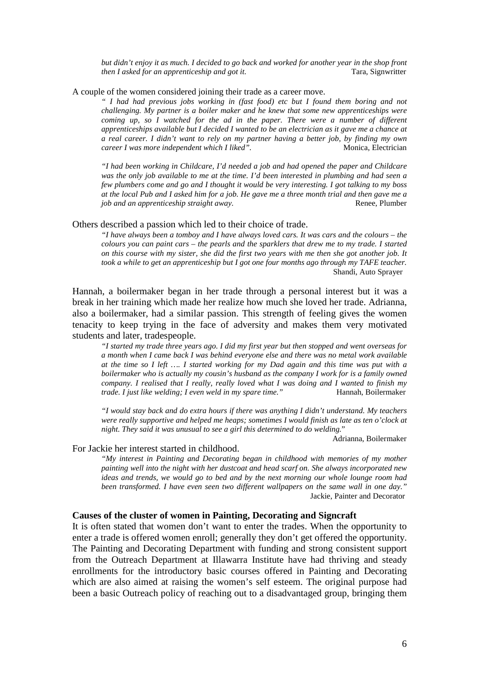*but didn't enjoy it as much. I decided to go back and worked for another year in the shop front then I asked for an apprenticeship and got it.* Tara, Signwritter

A couple of the women considered joining their trade as a career move.

*" I had had previous jobs working in (fast food) etc but I found them boring and not challenging. My partner is a boiler maker and he knew that some new apprenticeships were coming up, so I watched for the ad in the paper. There were a number of different apprenticeships available but I decided I wanted to be an electrician as it gave me a chance at a real career. I didn't want to rely on my partner having a better job, by finding my own career I was more independent which I liked".* Monica, Electrician

*"I had been working in Childcare, I'd needed a job and had opened the paper and Childcare was the only job available to me at the time. I'd been interested in plumbing and had seen a few plumbers come and go and I thought it would be very interesting. I got talking to my boss at the local Pub and I asked him for a job. He gave me a three month trial and then gave me a job and an apprenticeship straight away.* **Renee**, Plumber

Others described a passion which led to their choice of trade.

*"I have always been a tomboy and I have always loved cars. It was cars and the colours – the colours you can paint cars – the pearls and the sparklers that drew me to my trade. I started on this course with my sister, she did the first two years with me then she got another job. It took a while to get an apprenticeship but I got one four months ago through my TAFE teacher.*  Shandi, Auto Sprayer

Hannah, a boilermaker began in her trade through a personal interest but it was a break in her training which made her realize how much she loved her trade. Adrianna, also a boilermaker, had a similar passion. This strength of feeling gives the women tenacity to keep trying in the face of adversity and makes them very motivated students and later, tradespeople.

*"I started my trade three years ago. I did my first year but then stopped and went overseas for a month when I came back I was behind everyone else and there was no metal work available at the time so I left …. I started working for my Dad again and this time was put with a boilermaker who is actually my cousin's husband as the company I work for is a family owned company. I realised that I really, really loved what I was doing and I wanted to finish my trade. I just like welding; I even weld in my spare time.*" Hannah, Boilermaker

*"I would stay back and do extra hours if there was anything I didn't understand. My teachers were really supportive and helped me heaps; sometimes I would finish as late as ten o'clock at night. They said it was unusual to see a girl this determined to do welding.*"

Adrianna, Boilermaker

#### For Jackie her interest started in childhood.

*"My interest in Painting and Decorating began in childhood with memories of my mother painting well into the night with her dustcoat and head scarf on. She always incorporated new ideas and trends, we would go to bed and by the next morning our whole lounge room had been transformed. I have even seen two different wallpapers on the same wall in one day."* Jackie, Painter and Decorator

#### **Causes of the cluster of women in Painting, Decorating and Signcraft**

It is often stated that women don't want to enter the trades. When the opportunity to enter a trade is offered women enroll; generally they don't get offered the opportunity. The Painting and Decorating Department with funding and strong consistent support from the Outreach Department at Illawarra Institute have had thriving and steady enrollments for the introductory basic courses offered in Painting and Decorating which are also aimed at raising the women's self esteem. The original purpose had been a basic Outreach policy of reaching out to a disadvantaged group, bringing them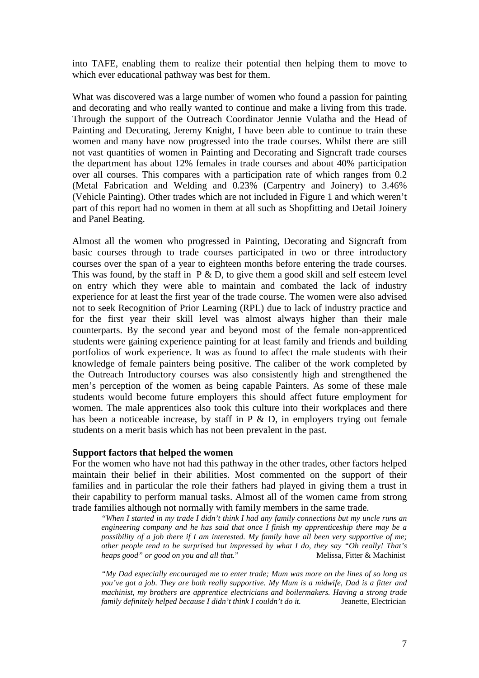into TAFE, enabling them to realize their potential then helping them to move to which ever educational pathway was best for them.

What was discovered was a large number of women who found a passion for painting and decorating and who really wanted to continue and make a living from this trade. Through the support of the Outreach Coordinator Jennie Vulatha and the Head of Painting and Decorating, Jeremy Knight, I have been able to continue to train these women and many have now progressed into the trade courses. Whilst there are still not vast quantities of women in Painting and Decorating and Signcraft trade courses the department has about 12% females in trade courses and about 40% participation over all courses. This compares with a participation rate of which ranges from 0.2 (Metal Fabrication and Welding and 0.23% (Carpentry and Joinery) to 3.46% (Vehicle Painting). Other trades which are not included in Figure 1 and which weren't part of this report had no women in them at all such as Shopfitting and Detail Joinery and Panel Beating.

Almost all the women who progressed in Painting, Decorating and Signcraft from basic courses through to trade courses participated in two or three introductory courses over the span of a year to eighteen months before entering the trade courses. This was found, by the staff in  $P \& D$ , to give them a good skill and self esteem level on entry which they were able to maintain and combated the lack of industry experience for at least the first year of the trade course. The women were also advised not to seek Recognition of Prior Learning (RPL) due to lack of industry practice and for the first year their skill level was almost always higher than their male counterparts. By the second year and beyond most of the female non-apprenticed students were gaining experience painting for at least family and friends and building portfolios of work experience. It was as found to affect the male students with their knowledge of female painters being positive. The caliber of the work completed by the Outreach Introductory courses was also consistently high and strengthened the men's perception of the women as being capable Painters. As some of these male students would become future employers this should affect future employment for women. The male apprentices also took this culture into their workplaces and there has been a noticeable increase, by staff in  $P \& D$ , in employers trying out female students on a merit basis which has not been prevalent in the past.

#### **Support factors that helped the women**

For the women who have not had this pathway in the other trades, other factors helped maintain their belief in their abilities. Most commented on the support of their families and in particular the role their fathers had played in giving them a trust in their capability to perform manual tasks. Almost all of the women came from strong trade families although not normally with family members in the same trade.

*"When I started in my trade I didn't think I had any family connections but my uncle runs an engineering company and he has said that once I finish my apprenticeship there may be a possibility of a job there if I am interested. My family have all been very supportive of me; other people tend to be surprised but impressed by what I do, they say "Oh really! That's heaps good" or good on you and all that.*" Melissa, Fitter & Machinist

*"My Dad especially encouraged me to enter trade; Mum was more on the lines of so long as you've got a job. They are both really supportive. My Mum is a midwife, Dad is a fitter and machinist, my brothers are apprentice electricians and boilermakers. Having a strong trade family definitely helped because I didn't think I couldn't do it.* Jeanette, Electrician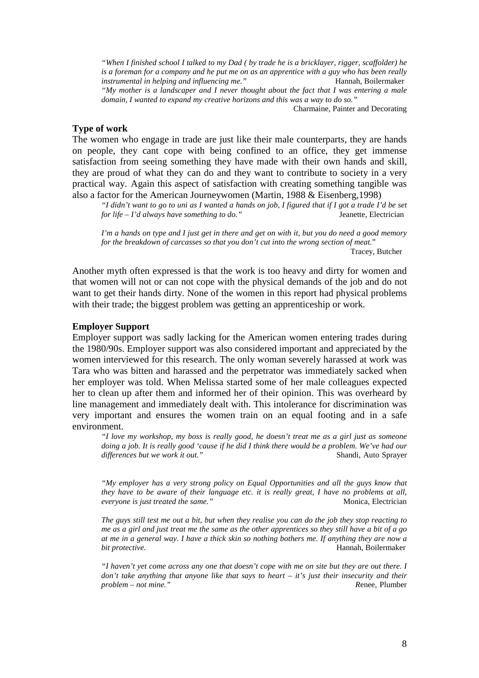*"When I finished school I talked to my Dad ( by trade he is a bricklayer, rigger, scaffolder) he is a foreman for a company and he put me on as an apprentice with a guy who has been really instrumental in helping and influencing me."* Hannah, Boilermaker *"My mother is a landscaper and I never thought about the fact that I was entering a male domain, I wanted to expand my creative horizons and this was a way to do so."* 

Charmaine, Painter and Decorating

#### **Type of work**

The women who engage in trade are just like their male counterparts, they are hands on people, they cant cope with being confined to an office, they get immense satisfaction from seeing something they have made with their own hands and skill, they are proud of what they can do and they want to contribute to society in a very practical way. Again this aspect of satisfaction with creating something tangible was also a factor for the American Journeywomen (Martin, 1988 & Eisenberg,1998)

*"I didn't want to go to uni as I wanted a hands on job, I figured that if I got a trade I'd be set for life – I'd always have something to do."* Jeanette, Electrician

*I'm a hands on type and I just get in there and get on with it, but you do need a good memory for the breakdown of carcasses so that you don't cut into the wrong section of meat.*" Tracey, Butcher

Another myth often expressed is that the work is too heavy and dirty for women and that women will not or can not cope with the physical demands of the job and do not want to get their hands dirty. None of the women in this report had physical problems with their trade; the biggest problem was getting an apprenticeship or work.

#### **Employer Support**

Employer support was sadly lacking for the American women entering trades during the 1980/90s. Employer support was also considered important and appreciated by the women interviewed for this research. The only woman severely harassed at work was Tara who was bitten and harassed and the perpetrator was immediately sacked when her employer was told. When Melissa started some of her male colleagues expected her to clean up after them and informed her of their opinion. This was overheard by line management and immediately dealt with. This intolerance for discrimination was very important and ensures the women train on an equal footing and in a safe environment.

*"I love my workshop, my boss is really good, he doesn't treat me as a girl just as someone doing a job. It is really good 'cause if he did I think there would be a problem. We've had our differences but we work it out."* **Shandi, Auto Sprayer Shandi, Auto Sprayer** 

*"My employer has a very strong policy on Equal Opportunities and all the guys know that they have to be aware of their language etc. it is really great, I have no problems at all, everyone is just treated the same."* Monica, Electrician

*The guys still test me out a bit, but when they realise you can do the job they stop reacting to me as a girl and just treat me the same as the other apprentices so they still have a bit of a go at me in a general way. I have a thick skin so nothing bothers me. If anything they are now a bit protective.* Hannah, Boilermaker

*"I haven't yet come across any one that doesn't cope with me on site but they are out there. I don't take anything that anyone like that says to heart – it's just their insecurity and their problem – not mine." R*enee, Plumber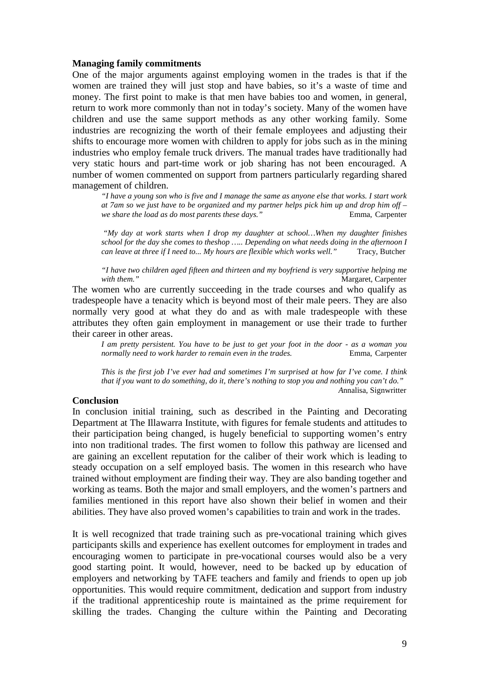#### **Managing family commitments**

One of the major arguments against employing women in the trades is that if the women are trained they will just stop and have babies, so it's a waste of time and money. The first point to make is that men have babies too and women, in general, return to work more commonly than not in today's society. Many of the women have children and use the same support methods as any other working family. Some industries are recognizing the worth of their female employees and adjusting their shifts to encourage more women with children to apply for jobs such as in the mining industries who employ female truck drivers. The manual trades have traditionally had very static hours and part-time work or job sharing has not been encouraged. A number of women commented on support from partners particularly regarding shared management of children.

*"I have a young son who is five and I manage the same as anyone else that works. I start work at 7am so we just have to be organized and my partner helps pick him up and drop him off – we share the load as do most parents these days."* Emma, Carpenter

*"My day at work starts when I drop my daughter at school…When my daughter finishes school for the day she comes to theshop ….. Depending on what needs doing in the afternoon I can leave at three if I need to... My hours are flexible which works well."* Tracy, Butcher

*"I have two children aged fifteen and thirteen and my boyfriend is very supportive helping me*  **Margaret, Carpenter** 

The women who are currently succeeding in the trade courses and who qualify as tradespeople have a tenacity which is beyond most of their male peers. They are also normally very good at what they do and as with male tradespeople with these attributes they often gain employment in management or use their trade to further their career in other areas.

*I am pretty persistent. You have to be just to get your foot in the door - as a woman you normally need to work harder to remain even in the trades.* Emma, Carpenter

*This is the first job I've ever had and sometimes I'm surprised at how far I've come. I think that if you want to do something, do it, there's nothing to stop you and nothing you can't do." A*nnalisa, Signwritter

### **Conclusion**

In conclusion initial training, such as described in the Painting and Decorating Department at The Illawarra Institute, with figures for female students and attitudes to their participation being changed, is hugely beneficial to supporting women's entry into non traditional trades. The first women to follow this pathway are licensed and are gaining an excellent reputation for the caliber of their work which is leading to steady occupation on a self employed basis. The women in this research who have trained without employment are finding their way. They are also banding together and working as teams. Both the major and small employers, and the women's partners and families mentioned in this report have also shown their belief in women and their abilities. They have also proved women's capabilities to train and work in the trades.

It is well recognized that trade training such as pre-vocational training which gives participants skills and experience has exellent outcomes for employment in trades and encouraging women to participate in pre-vocational courses would also be a very good starting point. It would, however, need to be backed up by education of employers and networking by TAFE teachers and family and friends to open up job opportunities. This would require commitment, dedication and support from industry if the traditional apprenticeship route is maintained as the prime requirement for skilling the trades. Changing the culture within the Painting and Decorating